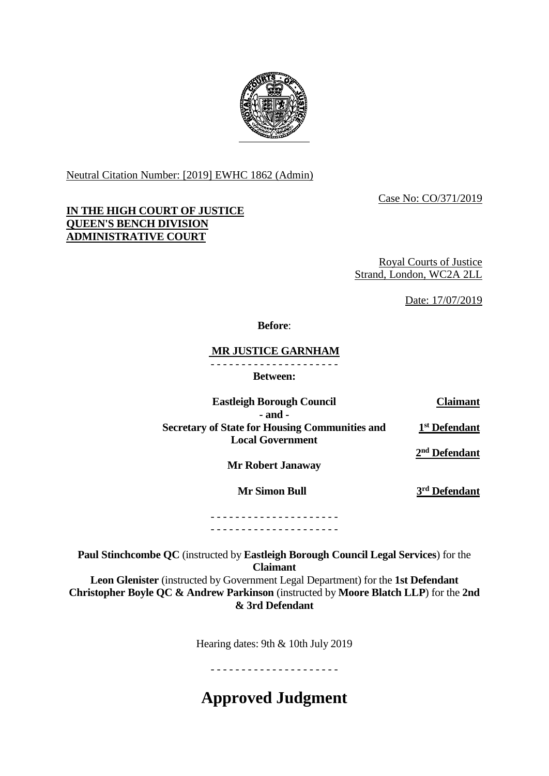

Neutral Citation Number: [2019] EWHC 1862 (Admin)

Case No: CO/371/2019

# **IN THE HIGH COURT OF JUSTICE QUEEN'S BENCH DIVISION ADMINISTRATIVE COURT**

Royal Courts of Justice Strand, London, WC2A 2LL

Date: 17/07/2019

## **Before**:

## **MR JUSTICE GARNHAM**

- - - - - - - - - - - - - - - - - - - - -

**Between:**

**Eastleigh Borough Council Claimant**

**- and - Secretary of State for Housing Communities and Local Government**

**1 st Defendant 2 nd Defendant**

**Mr Robert Janaway**

 **Mr Simon Bull 3**

**rd Defendant**

#### - - - - - - - - - - - - - - - - - - - - - - - - - - - - - - - - - - - - - - - - - -

**Paul Stinchcombe QC** (instructed by **Eastleigh Borough Council Legal Services**) for the **Claimant Leon Glenister** (instructed by Government Legal Department) for the **1st Defendant**

**Christopher Boyle QC & Andrew Parkinson** (instructed by **Moore Blatch LLP**) for the **2nd & 3rd Defendant**

Hearing dates: 9th & 10th July 2019

- - - - - - - - - - - - - - - - - - - - -

**Approved Judgment**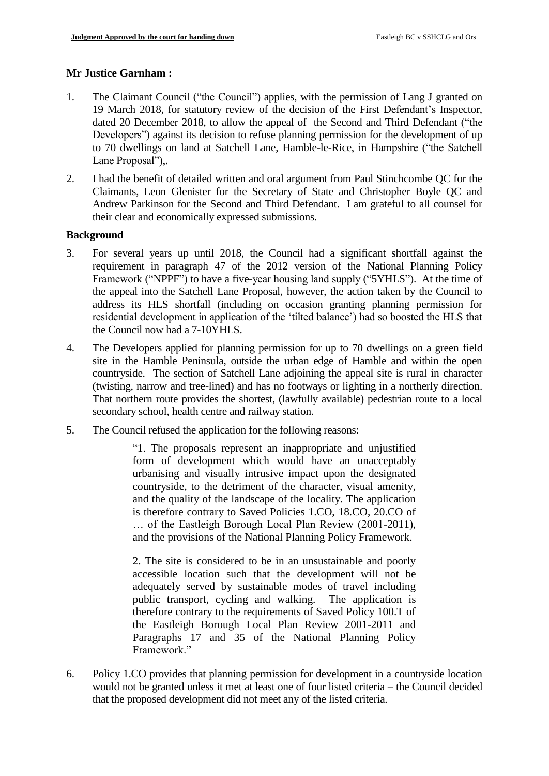## **Mr Justice Garnham :**

- 1. The Claimant Council ("the Council") applies, with the permission of Lang J granted on 19 March 2018, for statutory review of the decision of the First Defendant's Inspector, dated 20 December 2018, to allow the appeal of the Second and Third Defendant ("the Developers") against its decision to refuse planning permission for the development of up to 70 dwellings on land at Satchell Lane, Hamble-le-Rice, in Hampshire ("the Satchell Lane Proposal")..
- 2. I had the benefit of detailed written and oral argument from Paul Stinchcombe QC for the Claimants, Leon Glenister for the Secretary of State and Christopher Boyle QC and Andrew Parkinson for the Second and Third Defendant. I am grateful to all counsel for their clear and economically expressed submissions.

## **Background**

- 3. For several years up until 2018, the Council had a significant shortfall against the requirement in paragraph 47 of the 2012 version of the National Planning Policy Framework ("NPPF") to have a five-year housing land supply ("5YHLS"). At the time of the appeal into the Satchell Lane Proposal, however, the action taken by the Council to address its HLS shortfall (including on occasion granting planning permission for residential development in application of the 'tilted balance') had so boosted the HLS that the Council now had a 7-10YHLS.
- 4. The Developers applied for planning permission for up to 70 dwellings on a green field site in the Hamble Peninsula, outside the urban edge of Hamble and within the open countryside. The section of Satchell Lane adjoining the appeal site is rural in character (twisting, narrow and tree-lined) and has no footways or lighting in a northerly direction. That northern route provides the shortest, (lawfully available) pedestrian route to a local secondary school, health centre and railway station.
- 5. The Council refused the application for the following reasons:

"1. The proposals represent an inappropriate and unjustified form of development which would have an unacceptably urbanising and visually intrusive impact upon the designated countryside, to the detriment of the character, visual amenity, and the quality of the landscape of the locality. The application is therefore contrary to Saved Policies 1.CO, 18.CO, 20.CO of … of the Eastleigh Borough Local Plan Review (2001-2011), and the provisions of the National Planning Policy Framework.

2. The site is considered to be in an unsustainable and poorly accessible location such that the development will not be adequately served by sustainable modes of travel including public transport, cycling and walking. The application is therefore contrary to the requirements of Saved Policy 100.T of the Eastleigh Borough Local Plan Review 2001-2011 and Paragraphs 17 and 35 of the National Planning Policy Framework."

6. Policy 1.CO provides that planning permission for development in a countryside location would not be granted unless it met at least one of four listed criteria – the Council decided that the proposed development did not meet any of the listed criteria.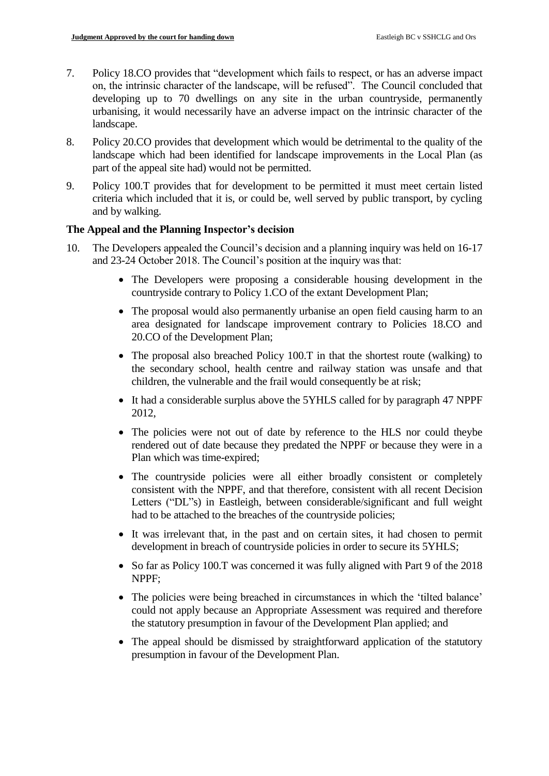- 7. Policy 18.CO provides that "development which fails to respect, or has an adverse impact on, the intrinsic character of the landscape, will be refused". The Council concluded that developing up to 70 dwellings on any site in the urban countryside, permanently urbanising, it would necessarily have an adverse impact on the intrinsic character of the landscape.
- 8. Policy 20.CO provides that development which would be detrimental to the quality of the landscape which had been identified for landscape improvements in the Local Plan (as part of the appeal site had) would not be permitted.
- 9. Policy 100.T provides that for development to be permitted it must meet certain listed criteria which included that it is, or could be, well served by public transport, by cycling and by walking.

## **The Appeal and the Planning Inspector's decision**

- 10. The Developers appealed the Council's decision and a planning inquiry was held on 16-17 and 23-24 October 2018. The Council's position at the inquiry was that:
	- The Developers were proposing a considerable housing development in the countryside contrary to Policy 1.CO of the extant Development Plan;
	- The proposal would also permanently urbanise an open field causing harm to an area designated for landscape improvement contrary to Policies 18.CO and 20.CO of the Development Plan;
	- The proposal also breached Policy 100.T in that the shortest route (walking) to the secondary school, health centre and railway station was unsafe and that children, the vulnerable and the frail would consequently be at risk;
	- It had a considerable surplus above the 5YHLS called for by paragraph 47 NPPF 2012,
	- The policies were not out of date by reference to the HLS nor could theybe rendered out of date because they predated the NPPF or because they were in a Plan which was time-expired;
	- The countryside policies were all either broadly consistent or completely consistent with the NPPF, and that therefore, consistent with all recent Decision Letters ("DL"s) in Eastleigh, between considerable/significant and full weight had to be attached to the breaches of the countryside policies;
	- It was irrelevant that, in the past and on certain sites, it had chosen to permit development in breach of countryside policies in order to secure its 5YHLS;
	- So far as Policy 100.T was concerned it was fully aligned with Part 9 of the 2018 NPPF;
	- The policies were being breached in circumstances in which the 'tilted balance' could not apply because an Appropriate Assessment was required and therefore the statutory presumption in favour of the Development Plan applied; and
	- The appeal should be dismissed by straightforward application of the statutory presumption in favour of the Development Plan.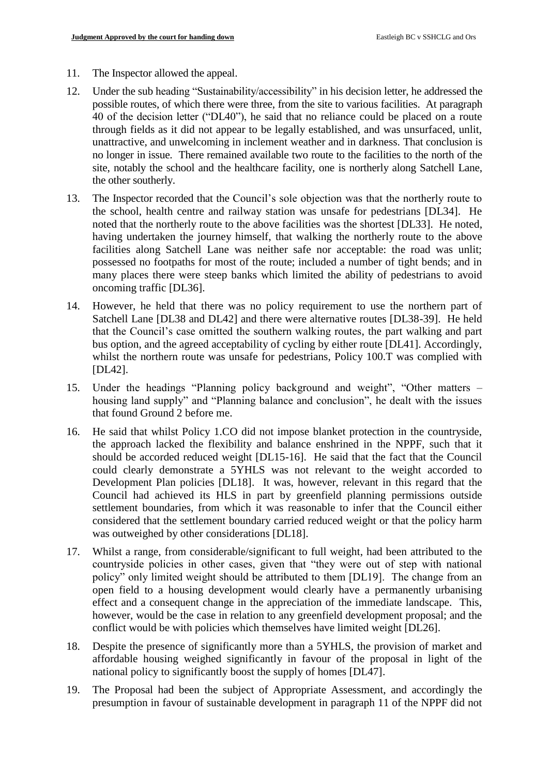- 11. The Inspector allowed the appeal.
- 12. Under the sub heading "Sustainability/accessibility" in his decision letter, he addressed the possible routes, of which there were three, from the site to various facilities. At paragraph 40 of the decision letter ("DL40"), he said that no reliance could be placed on a route through fields as it did not appear to be legally established, and was unsurfaced, unlit, unattractive, and unwelcoming in inclement weather and in darkness. That conclusion is no longer in issue. There remained available two route to the facilities to the north of the site, notably the school and the healthcare facility, one is northerly along Satchell Lane, the other southerly.
- 13. The Inspector recorded that the Council's sole objection was that the northerly route to the school, health centre and railway station was unsafe for pedestrians [DL34]. He noted that the northerly route to the above facilities was the shortest [DL33]. He noted, having undertaken the journey himself, that walking the northerly route to the above facilities along Satchell Lane was neither safe nor acceptable: the road was unlit; possessed no footpaths for most of the route; included a number of tight bends; and in many places there were steep banks which limited the ability of pedestrians to avoid oncoming traffic [DL36].
- 14. However, he held that there was no policy requirement to use the northern part of Satchell Lane [DL38 and DL42] and there were alternative routes [DL38-39]. He held that the Council's case omitted the southern walking routes, the part walking and part bus option, and the agreed acceptability of cycling by either route [DL41]. Accordingly, whilst the northern route was unsafe for pedestrians, Policy 100.T was complied with [DL42].
- 15. Under the headings "Planning policy background and weight", "Other matters housing land supply" and "Planning balance and conclusion", he dealt with the issues that found Ground 2 before me.
- 16. He said that whilst Policy 1.CO did not impose blanket protection in the countryside, the approach lacked the flexibility and balance enshrined in the NPPF, such that it should be accorded reduced weight [DL15-16]. He said that the fact that the Council could clearly demonstrate a 5YHLS was not relevant to the weight accorded to Development Plan policies [DL18]. It was, however, relevant in this regard that the Council had achieved its HLS in part by greenfield planning permissions outside settlement boundaries, from which it was reasonable to infer that the Council either considered that the settlement boundary carried reduced weight or that the policy harm was outweighed by other considerations [DL18].
- 17. Whilst a range, from considerable/significant to full weight, had been attributed to the countryside policies in other cases, given that "they were out of step with national policy" only limited weight should be attributed to them [DL19]. The change from an open field to a housing development would clearly have a permanently urbanising effect and a consequent change in the appreciation of the immediate landscape. This, however, would be the case in relation to any greenfield development proposal; and the conflict would be with policies which themselves have limited weight [DL26].
- 18. Despite the presence of significantly more than a 5YHLS, the provision of market and affordable housing weighed significantly in favour of the proposal in light of the national policy to significantly boost the supply of homes [DL47].
- 19. The Proposal had been the subject of Appropriate Assessment, and accordingly the presumption in favour of sustainable development in paragraph 11 of the NPPF did not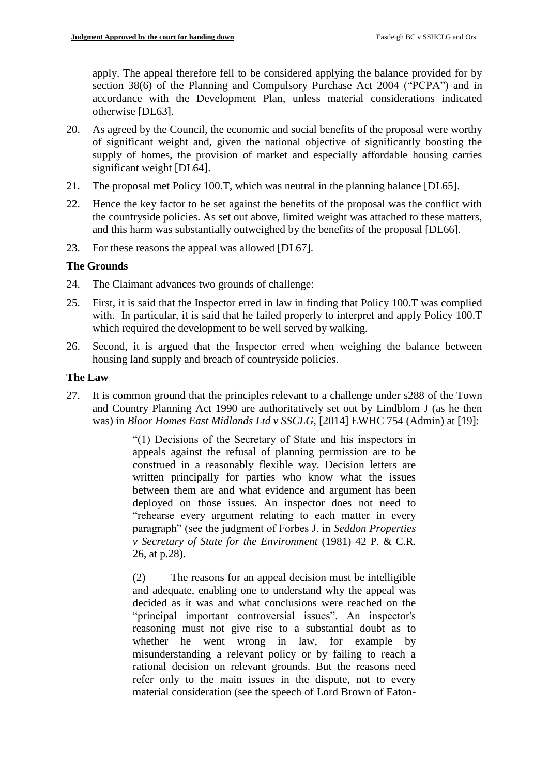apply. The appeal therefore fell to be considered applying the balance provided for by section 38(6) [of the Planning and Compulsory Purchase Act 2004](http://www.legislation.gov.uk/ukpga/2004/5/section/38) ("PCPA") and in accordance with the Development Plan, unless material considerations indicated otherwise [DL63].

- 20. As agreed by the Council, the economic and social benefits of the proposal were worthy of significant weight and, given the national objective of significantly boosting the supply of homes, the provision of market and especially affordable housing carries significant weight [DL64].
- 21. The proposal met Policy 100.T, which was neutral in the planning balance [DL65].
- 22. Hence the key factor to be set against the benefits of the proposal was the conflict with the countryside policies. As set out above, limited weight was attached to these matters, and this harm was substantially outweighed by the benefits of the proposal [DL66].
- 23. For these reasons the appeal was allowed [DL67].

## **The Grounds**

- 24. The Claimant advances two grounds of challenge:
- 25. First, it is said that the Inspector erred in law in finding that Policy 100.T was complied with. In particular, it is said that he failed properly to interpret and apply Policy 100.T which required the development to be well served by walking.
- 26. Second, it is argued that the Inspector erred when weighing the balance between housing land supply and breach of countryside policies.

## **The Law**

27. It is common ground that the principles relevant to a challenge under s288 of the Town and Country Planning Act 1990 are authoritatively set out by Lindblom J (as he then was) in *Bloor Homes East Midlands Ltd v SSCLG*, [2014] EWHC 754 (Admin) at [19]:

> "(1) Decisions of the Secretary of State and his inspectors in appeals against the refusal of planning permission are to be construed in a reasonably flexible way. Decision letters are written principally for parties who know what the issues between them are and what evidence and argument has been deployed on those issues. An inspector does not need to "rehearse every argument relating to each matter in every paragraph" (see the judgment of Forbes J. in *Seddon Properties v Secretary of State for the Environment* (1981) 42 P. & C.R. 26, at p.28).

> (2) The reasons for an appeal decision must be intelligible and adequate, enabling one to understand why the appeal was decided as it was and what conclusions were reached on the "principal important controversial issues". An inspector's reasoning must not give rise to a substantial doubt as to whether he went wrong in law, for example by misunderstanding a relevant policy or by failing to reach a rational decision on relevant grounds. But the reasons need refer only to the main issues in the dispute, not to every material consideration (see the speech of Lord Brown of Eaton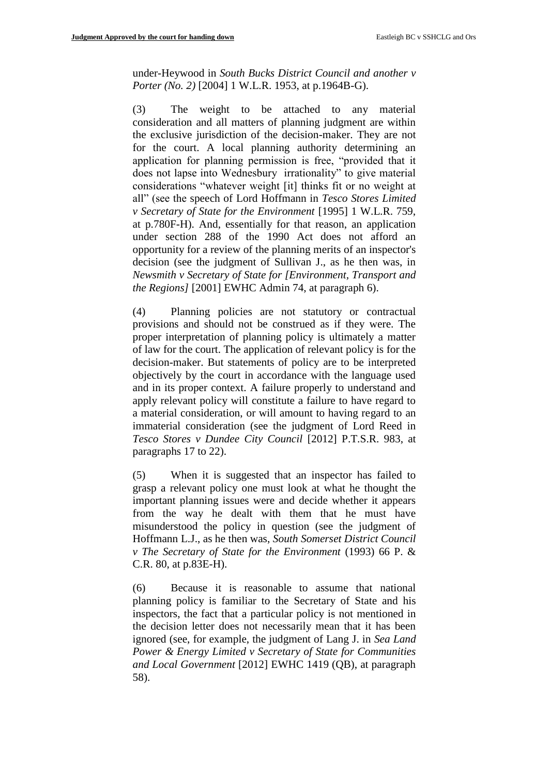under-Heywood in *South Bucks District Council and another v Porter (No. 2)* [2004] 1 W.L.R. 1953, at p.1964B-G).

(3) The weight to be attached to any material consideration and all matters of planning judgment are within the exclusive jurisdiction of the decision-maker. They are not for the court. A local planning authority determining an application for planning permission is free, "provided that it does not lapse into Wednesbury irrationality" to give material considerations "whatever weight [it] thinks fit or no weight at all" (see the speech of Lord Hoffmann in *Tesco Stores Limited v Secretary of State for the Environment* [1995] 1 W.L.R. 759, at p.780F-H). And, essentially for that reason, an application under section 288 of the 1990 Act does not afford an opportunity for a review of the planning merits of an inspector's decision (see the judgment of Sullivan J., as he then was, in *Newsmith v Secretary of State for [Environment, Transport and the Regions]* [2001] EWHC Admin 74, at paragraph 6).

(4) Planning policies are not statutory or contractual provisions and should not be construed as if they were. The proper interpretation of planning policy is ultimately a matter of law for the court. The application of relevant policy is for the decision-maker. But statements of policy are to be interpreted objectively by the court in accordance with the language used and in its proper context. A failure properly to understand and apply relevant policy will constitute a failure to have regard to a material consideration, or will amount to having regard to an immaterial consideration (see the judgment of Lord Reed in *Tesco Stores v Dundee City Council* [2012] P.T.S.R. 983, at paragraphs 17 to 22).

(5) When it is suggested that an inspector has failed to grasp a relevant policy one must look at what he thought the important planning issues were and decide whether it appears from the way he dealt with them that he must have misunderstood the policy in question (see the judgment of Hoffmann L.J., as he then was, *South Somerset District Council v The Secretary of State for the Environment* (1993) 66 P. & C.R. 80, at p.83E-H).

(6) Because it is reasonable to assume that national planning policy is familiar to the Secretary of State and his inspectors, the fact that a particular policy is not mentioned in the decision letter does not necessarily mean that it has been ignored (see, for example, the judgment of Lang J. in *Sea Land Power & Energy Limited v Secretary of State for Communities and Local Government* [2012] EWHC 1419 (QB), at paragraph 58).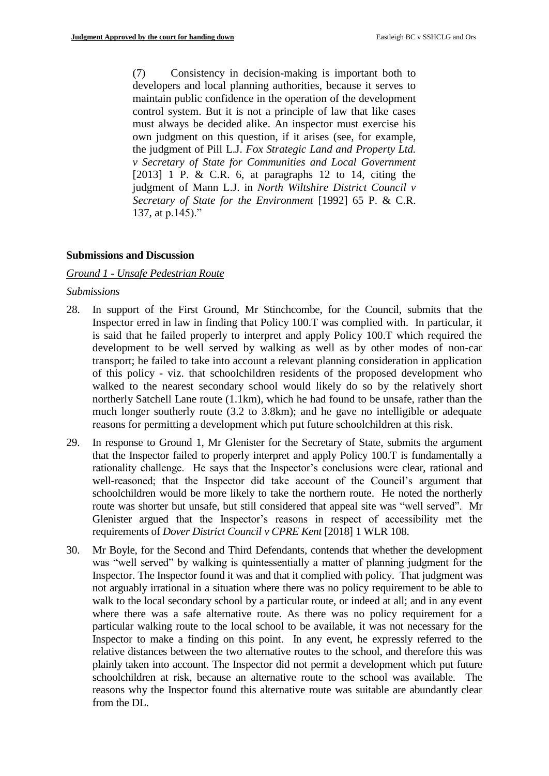(7) Consistency in decision-making is important both to developers and local planning authorities, because it serves to maintain public confidence in the operation of the development control system. But it is not a principle of law that like cases must always be decided alike. An inspector must exercise his own judgment on this question, if it arises (see, for example, the judgment of Pill L.J. *Fox Strategic Land and Property Ltd. v Secretary of State for Communities and Local Government* [2013] 1 P. & C.R. 6, at paragraphs 12 to 14, citing the judgment of Mann L.J. in *North Wiltshire District Council v Secretary of State for the Environment* [1992] 65 P. & C.R. 137, at p.145)."

#### **Submissions and Discussion**

## *Ground 1 - Unsafe Pedestrian Route*

#### *Submissions*

- 28. In support of the First Ground, Mr Stinchcombe, for the Council, submits that the Inspector erred in law in finding that Policy 100.T was complied with. In particular, it is said that he failed properly to interpret and apply Policy 100.T which required the development to be well served by walking as well as by other modes of non-car transport; he failed to take into account a relevant planning consideration in application of this policy - viz. that schoolchildren residents of the proposed development who walked to the nearest secondary school would likely do so by the relatively short northerly Satchell Lane route (1.1km), which he had found to be unsafe, rather than the much longer southerly route (3.2 to 3.8km); and he gave no intelligible or adequate reasons for permitting a development which put future schoolchildren at this risk.
- 29. In response to Ground 1, Mr Glenister for the Secretary of State, submits the argument that the Inspector failed to properly interpret and apply Policy 100.T is fundamentally a rationality challenge. He says that the Inspector's conclusions were clear, rational and well-reasoned; that the Inspector did take account of the Council's argument that schoolchildren would be more likely to take the northern route. He noted the northerly route was shorter but unsafe, but still considered that appeal site was "well served". Mr Glenister argued that the Inspector's reasons in respect of accessibility met the requirements of *Dover District Council v CPRE Kent* [2018] 1 WLR 108.
- 30. Mr Boyle, for the Second and Third Defendants, contends that whether the development was "well served" by walking is quintessentially a matter of planning judgment for the Inspector. The Inspector found it was and that it complied with policy. That judgment was not arguably irrational in a situation where there was no policy requirement to be able to walk to the local secondary school by a particular route, or indeed at all; and in any event where there was a safe alternative route. As there was no policy requirement for a particular walking route to the local school to be available, it was not necessary for the Inspector to make a finding on this point. In any event, he expressly referred to the relative distances between the two alternative routes to the school, and therefore this was plainly taken into account. The Inspector did not permit a development which put future schoolchildren at risk, because an alternative route to the school was available. The reasons why the Inspector found this alternative route was suitable are abundantly clear from the DL.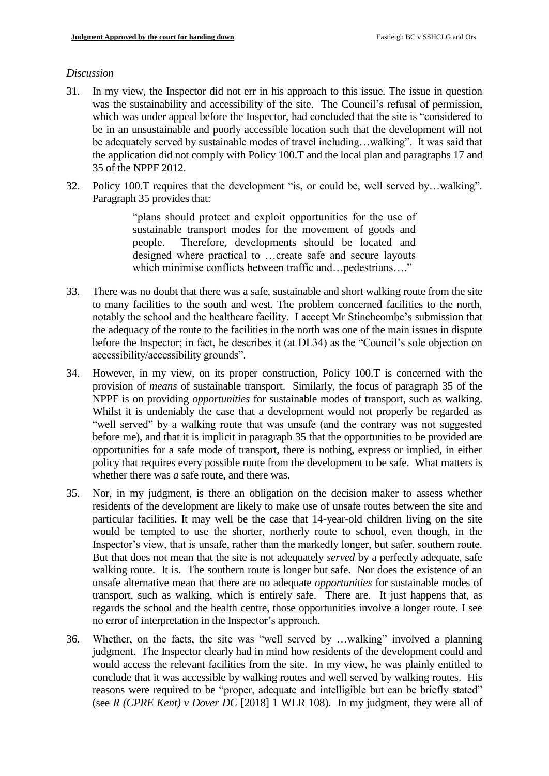#### *Discussion*

- 31. In my view, the Inspector did not err in his approach to this issue. The issue in question was the sustainability and accessibility of the site. The Council's refusal of permission, which was under appeal before the Inspector, had concluded that the site is "considered to be in an unsustainable and poorly accessible location such that the development will not be adequately served by sustainable modes of travel including…walking". It was said that the application did not comply with Policy 100.T and the local plan and paragraphs 17 and 35 of the NPPF 2012.
- 32. Policy 100.T requires that the development "is, or could be, well served by…walking". Paragraph 35 provides that:

"plans should protect and exploit opportunities for the use of sustainable transport modes for the movement of goods and people. Therefore, developments should be located and designed where practical to …create safe and secure layouts which minimise conflicts between traffic and…pedestrians…."

- 33. There was no doubt that there was a safe, sustainable and short walking route from the site to many facilities to the south and west. The problem concerned facilities to the north, notably the school and the healthcare facility. I accept Mr Stinchcombe's submission that the adequacy of the route to the facilities in the north was one of the main issues in dispute before the Inspector; in fact, he describes it (at DL34) as the "Council's sole objection on accessibility/accessibility grounds".
- 34. However, in my view, on its proper construction, Policy 100.T is concerned with the provision of *means* of sustainable transport. Similarly, the focus of paragraph 35 of the NPPF is on providing *opportunities* for sustainable modes of transport, such as walking. Whilst it is undeniably the case that a development would not properly be regarded as "well served" by a walking route that was unsafe (and the contrary was not suggested before me), and that it is implicit in paragraph 35 that the opportunities to be provided are opportunities for a safe mode of transport, there is nothing, express or implied, in either policy that requires every possible route from the development to be safe. What matters is whether there was *a* safe route, and there was.
- 35. Nor, in my judgment, is there an obligation on the decision maker to assess whether residents of the development are likely to make use of unsafe routes between the site and particular facilities. It may well be the case that 14-year-old children living on the site would be tempted to use the shorter, northerly route to school, even though, in the Inspector's view, that is unsafe, rather than the markedly longer, but safer, southern route. But that does not mean that the site is not adequately *served* by a perfectly adequate, safe walking route. It is. The southern route is longer but safe. Nor does the existence of an unsafe alternative mean that there are no adequate *opportunities* for sustainable modes of transport, such as walking, which is entirely safe. There are. It just happens that, as regards the school and the health centre, those opportunities involve a longer route. I see no error of interpretation in the Inspector's approach.
- 36. Whether, on the facts, the site was "well served by …walking" involved a planning judgment. The Inspector clearly had in mind how residents of the development could and would access the relevant facilities from the site. In my view, he was plainly entitled to conclude that it was accessible by walking routes and well served by walking routes. His reasons were required to be "proper, adequate and intelligible but can be briefly stated" (see *R (CPRE Kent) v Dover DC* [2018] 1 WLR 108). In my judgment, they were all of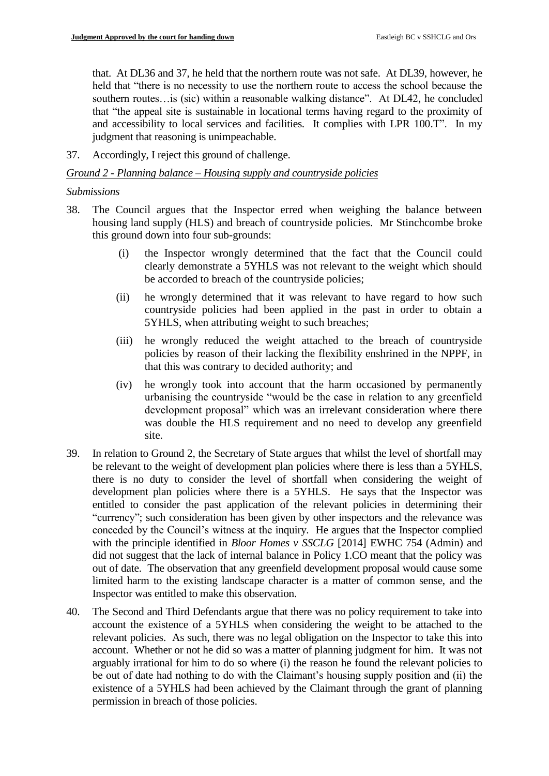that. At DL36 and 37, he held that the northern route was not safe. At DL39, however, he held that "there is no necessity to use the northern route to access the school because the southern routes...is (sic) within a reasonable walking distance". At DL42, he concluded that "the appeal site is sustainable in locational terms having regard to the proximity of and accessibility to local services and facilities. It complies with LPR 100.T". In my judgment that reasoning is unimpeachable.

37. Accordingly, I reject this ground of challenge.

#### *Ground 2 - Planning balance – Housing supply and countryside policies*

#### *Submissions*

- 38. The Council argues that the Inspector erred when weighing the balance between housing land supply (HLS) and breach of countryside policies. Mr Stinchcombe broke this ground down into four sub-grounds:
	- (i) the Inspector wrongly determined that the fact that the Council could clearly demonstrate a 5YHLS was not relevant to the weight which should be accorded to breach of the countryside policies;
	- (ii) he wrongly determined that it was relevant to have regard to how such countryside policies had been applied in the past in order to obtain a 5YHLS, when attributing weight to such breaches;
	- (iii) he wrongly reduced the weight attached to the breach of countryside policies by reason of their lacking the flexibility enshrined in the NPPF, in that this was contrary to decided authority; and
	- (iv) he wrongly took into account that the harm occasioned by permanently urbanising the countryside "would be the case in relation to any greenfield development proposal" which was an irrelevant consideration where there was double the HLS requirement and no need to develop any greenfield site.
- 39. In relation to Ground 2, the Secretary of State argues that whilst the level of shortfall may be relevant to the weight of development plan policies where there is less than a 5YHLS, there is no duty to consider the level of shortfall when considering the weight of development plan policies where there is a 5YHLS. He says that the Inspector was entitled to consider the past application of the relevant policies in determining their "currency"; such consideration has been given by other inspectors and the relevance was conceded by the Council's witness at the inquiry. He argues that the Inspector complied with the principle identified in *Bloor Homes v SSCLG* [2014] EWHC 754 (Admin) and did not suggest that the lack of internal balance in Policy 1.CO meant that the policy was out of date. The observation that any greenfield development proposal would cause some limited harm to the existing landscape character is a matter of common sense, and the Inspector was entitled to make this observation.
- 40. The Second and Third Defendants argue that there was no policy requirement to take into account the existence of a 5YHLS when considering the weight to be attached to the relevant policies. As such, there was no legal obligation on the Inspector to take this into account. Whether or not he did so was a matter of planning judgment for him. It was not arguably irrational for him to do so where (i) the reason he found the relevant policies to be out of date had nothing to do with the Claimant's housing supply position and (ii) the existence of a 5YHLS had been achieved by the Claimant through the grant of planning permission in breach of those policies.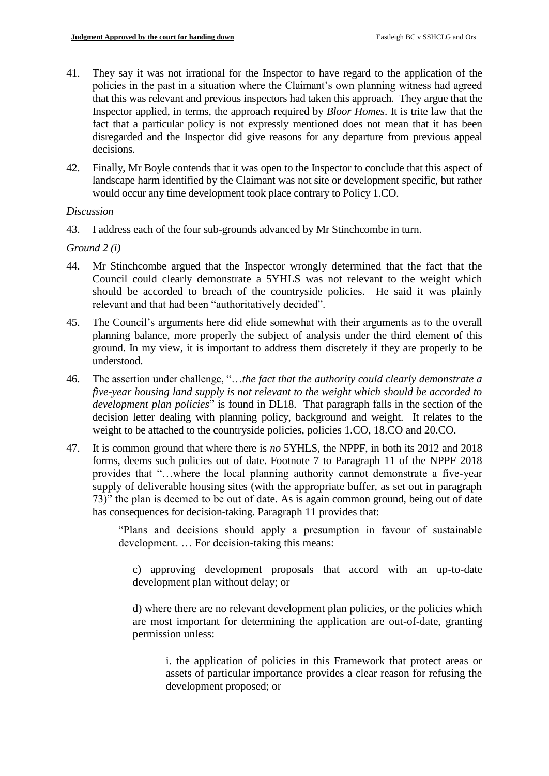- 41. They say it was not irrational for the Inspector to have regard to the application of the policies in the past in a situation where the Claimant's own planning witness had agreed that this was relevant and previous inspectors had taken this approach. They argue that the Inspector applied, in terms, the approach required by *Bloor Homes*. It is trite law that the fact that a particular policy is not expressly mentioned does not mean that it has been disregarded and the Inspector did give reasons for any departure from previous appeal decisions.
- 42. Finally, Mr Boyle contends that it was open to the Inspector to conclude that this aspect of landscape harm identified by the Claimant was not site or development specific, but rather would occur any time development took place contrary to Policy 1.CO.

## *Discussion*

43. I address each of the four sub-grounds advanced by Mr Stinchcombe in turn.

*Ground 2 (i)*

- 44. Mr Stinchcombe argued that the Inspector wrongly determined that the fact that the Council could clearly demonstrate a 5YHLS was not relevant to the weight which should be accorded to breach of the countryside policies. He said it was plainly relevant and that had been "authoritatively decided".
- 45. The Council's arguments here did elide somewhat with their arguments as to the overall planning balance, more properly the subject of analysis under the third element of this ground. In my view, it is important to address them discretely if they are properly to be understood.
- 46. The assertion under challenge, "…*the fact that the authority could clearly demonstrate a five-year housing land supply is not relevant to the weight which should be accorded to development plan policies*" is found in DL18. That paragraph falls in the section of the decision letter dealing with planning policy, background and weight. It relates to the weight to be attached to the countryside policies, policies 1.CO, 18.CO and 20.CO.
- 47. It is common ground that where there is *no* 5YHLS, the NPPF, in both its 2012 and 2018 forms, deems such policies out of date. Footnote 7 to Paragraph 11 of the NPPF 2018 provides that "…where the local planning authority cannot demonstrate a five-year supply of deliverable housing sites (with the appropriate buffer, as set out in paragraph 73)" the plan is deemed to be out of date. As is again common ground, being out of date has consequences for decision-taking. Paragraph 11 provides that:

"Plans and decisions should apply a presumption in favour of sustainable development. … For decision-taking this means:

c) approving development proposals that accord with an up-to-date development plan without delay; or

d) where there are no relevant development plan policies, or the policies which are most important for determining the application are out-of-date, granting permission unless:

i. the application of policies in this Framework that protect areas or assets of particular importance provides a clear reason for refusing the development proposed; or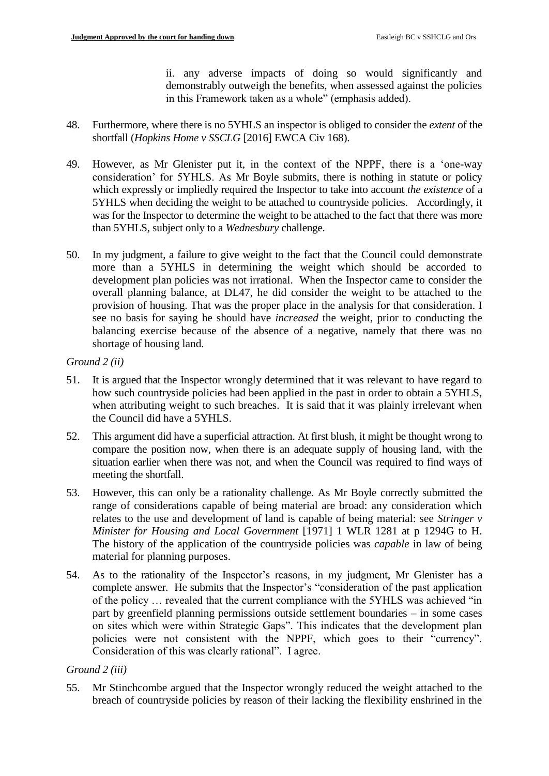ii. any adverse impacts of doing so would significantly and demonstrably outweigh the benefits, when assessed against the policies in this Framework taken as a whole" (emphasis added).

- 48. Furthermore, where there is no 5YHLS an inspector is obliged to consider the *extent* of the shortfall (*Hopkins Home v SSCLG* [2016] EWCA Civ 168).
- 49. However, as Mr Glenister put it, in the context of the NPPF, there is a 'one-way consideration' for 5YHLS. As Mr Boyle submits, there is nothing in statute or policy which expressly or impliedly required the Inspector to take into account *the existence* of a 5YHLS when deciding the weight to be attached to countryside policies. Accordingly, it was for the Inspector to determine the weight to be attached to the fact that there was more than 5YHLS, subject only to a *Wednesbury* challenge.
- 50. In my judgment, a failure to give weight to the fact that the Council could demonstrate more than a 5YHLS in determining the weight which should be accorded to development plan policies was not irrational. When the Inspector came to consider the overall planning balance, at DL47, he did consider the weight to be attached to the provision of housing. That was the proper place in the analysis for that consideration. I see no basis for saying he should have *increased* the weight, prior to conducting the balancing exercise because of the absence of a negative, namely that there was no shortage of housing land.

## *Ground 2 (ii)*

- 51. It is argued that the Inspector wrongly determined that it was relevant to have regard to how such countryside policies had been applied in the past in order to obtain a 5YHLS, when attributing weight to such breaches. It is said that it was plainly irrelevant when the Council did have a 5YHLS.
- 52. This argument did have a superficial attraction. At first blush, it might be thought wrong to compare the position now, when there is an adequate supply of housing land, with the situation earlier when there was not, and when the Council was required to find ways of meeting the shortfall.
- 53. However, this can only be a rationality challenge. As Mr Boyle correctly submitted the range of considerations capable of being material are broad: any consideration which relates to the use and development of land is capable of being material: see *Stringer v Minister for Housing and Local Government* [1971] 1 WLR 1281 at p 1294G to H. The history of the application of the countryside policies was *capable* in law of being material for planning purposes.
- 54. As to the rationality of the Inspector's reasons, in my judgment, Mr Glenister has a complete answer. He submits that the Inspector's "consideration of the past application of the policy … revealed that the current compliance with the 5YHLS was achieved "in part by greenfield planning permissions outside settlement boundaries – in some cases on sites which were within Strategic Gaps". This indicates that the development plan policies were not consistent with the NPPF, which goes to their "currency". Consideration of this was clearly rational". I agree.

# *Ground 2 (iii)*

55. Mr Stinchcombe argued that the Inspector wrongly reduced the weight attached to the breach of countryside policies by reason of their lacking the flexibility enshrined in the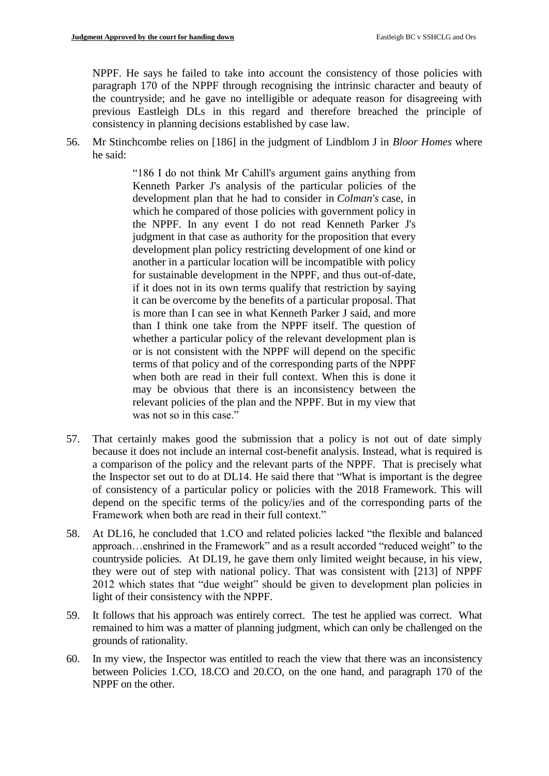NPPF. He says he failed to take into account the consistency of those policies with paragraph 170 of the NPPF through recognising the intrinsic character and beauty of the countryside; and he gave no intelligible or adequate reason for disagreeing with previous Eastleigh DLs in this regard and therefore breached the principle of consistency in planning decisions established by case law.

56. Mr Stinchcombe relies on [186] in the judgment of Lindblom J in *Bloor Homes* where he said:

> "186 I do not think Mr Cahill's argument gains anything from Kenneth Parker J's analysis of the particular policies of the development plan that he had to consider in *Colman's* case, in which he compared of those policies with government policy in the NPPF. In any event I do not read Kenneth Parker J's judgment in that case as authority for the proposition that every development plan policy restricting development of one kind or another in a particular location will be incompatible with policy for sustainable development in the NPPF, and thus out-of-date, if it does not in its own terms qualify that restriction by saying it can be overcome by the benefits of a particular proposal. That is more than I can see in what Kenneth Parker J said, and more than I think one take from the NPPF itself. The question of whether a particular policy of the relevant development plan is or is not consistent with the NPPF will depend on the specific terms of that policy and of the corresponding parts of the NPPF when both are read in their full context. When this is done it may be obvious that there is an inconsistency between the relevant policies of the plan and the NPPF. But in my view that was not so in this case."

- 57. That certainly makes good the submission that a policy is not out of date simply because it does not include an internal cost-benefit analysis. Instead, what is required is a comparison of the policy and the relevant parts of the NPPF. That is precisely what the Inspector set out to do at DL14. He said there that "What is important is the degree of consistency of a particular policy or policies with the 2018 Framework. This will depend on the specific terms of the policy/ies and of the corresponding parts of the Framework when both are read in their full context."
- 58. At DL16, he concluded that 1.CO and related policies lacked "the flexible and balanced approach…enshrined in the Framework" and as a result accorded "reduced weight" to the countryside policies. At DL19, he gave them only limited weight because, in his view, they were out of step with national policy. That was consistent with [213] of NPPF 2012 which states that "due weight" should be given to development plan policies in light of their consistency with the NPPF.
- 59. It follows that his approach was entirely correct. The test he applied was correct. What remained to him was a matter of planning judgment, which can only be challenged on the grounds of rationality.
- 60. In my view, the Inspector was entitled to reach the view that there was an inconsistency between Policies 1.CO, 18.CO and 20.CO, on the one hand, and paragraph 170 of the NPPF on the other.